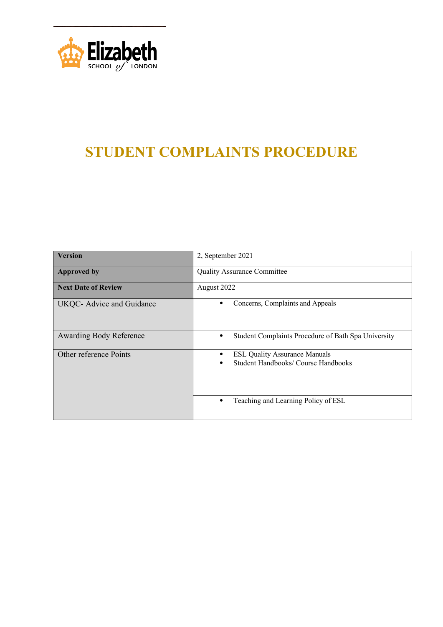

# **STUDENT COMPLAINTS PROCEDURE**

| <b>Version</b>                 | 2, September 2021                                                                     |
|--------------------------------|---------------------------------------------------------------------------------------|
| <b>Approved by</b>             | <b>Quality Assurance Committee</b>                                                    |
| <b>Next Date of Review</b>     | August 2022                                                                           |
| UKQC- Advice and Guidance      | Concerns, Complaints and Appeals                                                      |
| <b>Awarding Body Reference</b> | Student Complaints Procedure of Bath Spa University                                   |
| Other reference Points         | <b>ESL Quality Assurance Manuals</b><br>٠<br>Student Handbooks/ Course Handbooks<br>٠ |
|                                | Teaching and Learning Policy of ESL                                                   |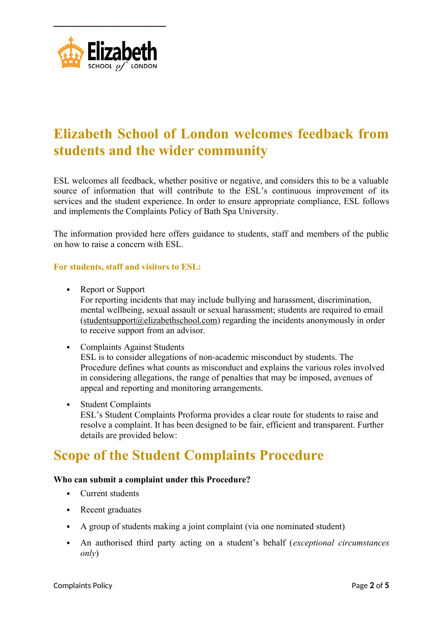

### **Elizabeth School of London welcomes feedback from students and the wider community**

ESL welcomes all feedback, whether positive or negative, and considers this to be a valuable source of information that will contribute to the ESL's continuous improvement of its services and the student experience. In order to ensure appropriate compliance, ESL follows and implements the Complaints Policy of Bath Spa University.

The information provided here offers guidance to students, staff and members of the public on how to raise a concern with ESL.

#### **For students, staff and visitors to ESL:**

- Report or Support For reporting incidents that may include bullying and harassment, discrimination, mental wellbeing, sexual assault or sexual harassment; students are required to email  $(\text{students}$ com) regarding the incidents anonymously in order to receive support from an advisor.
- Complaints Against Students ESL is to consider allegations of non-academic misconduct by students. The Procedure defines what counts as misconduct and explains the various roles involved in considering allegations, the range of penalties that may be imposed, avenues of appeal and reporting and monitoring arrangements.
- Student Complaints ESL's Student Complaints Proforma provides a clear route for students to raise and resolve a complaint. It has been designed to be fair, efficient and transparent. Further details are provided below:

## **Scope of the Student Complaints Procedure**

#### **Who can submit a complaint under this Procedure?**

- Current students
- Recent graduates
- A group of students making a joint complaint (via one nominated student)
- An authorised third party acting on a student's behalf (*exceptional circumstances only*)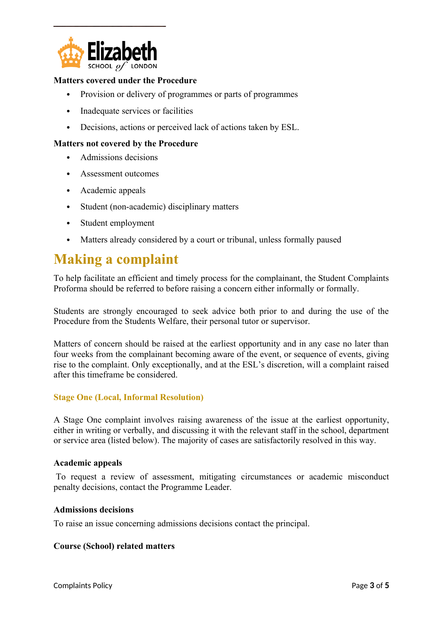

#### **Matters covered under the Procedure**

- Provision or delivery of programmes or parts of programmes
- Inadequate services or facilities
- Decisions, actions or perceived lack of actions taken by ESL.

#### **Matters not covered by the Procedure**

- Admissions decisions
- Assessment outcomes
- Academic appeals
- Student (non-academic) disciplinary matters
- Student employment
- Matters already considered by a court or tribunal, unless formally paused

### **Making a complaint**

To help facilitate an efficient and timely process for the complainant, the Student Complaints Proforma should be referred to before raising a concern either informally or formally.

Students are strongly encouraged to seek advice both prior to and during the use of the Procedure from the Students Welfare, their personal tutor or supervisor.

Matters of concern should be raised at the earliest opportunity and in any case no later than four weeks from the complainant becoming aware of the event, or sequence of events, giving rise to the complaint. Only exceptionally, and at the ESL's discretion, will a complaint raised after this timeframe be considered.

#### **Stage One (Local, Informal Resolution)**

A Stage One complaint involves raising awareness of the issue at the earliest opportunity, either in writing or verbally, and discussing it with the relevant staff in the school, department or service area (listed below). The majority of cases are satisfactorily resolved in this way.

#### **Academic appeals**

To request a review of assessment, mitigating circumstances or academic misconduct penalty decisions, contact the Programme Leader.

#### **Admissions decisions**

To raise an issue concerning admissions decisions contact the principal.

#### **Course (School) related matters**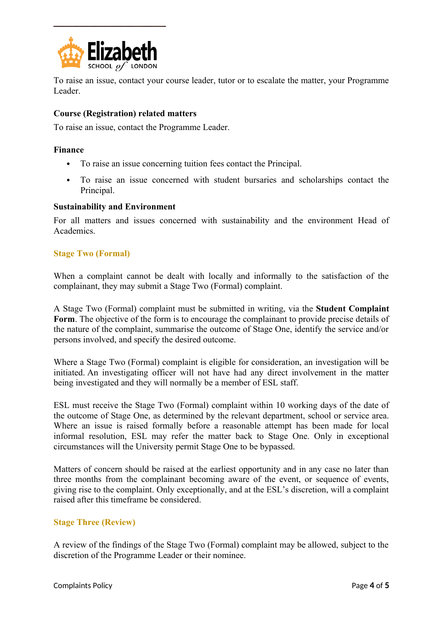

To raise an issue, contact your course leader, tutor or to escalate the matter, your Programme Leader.

#### **Course (Registration) related matters**

To raise an issue, contact the Programme Leader.

#### **Finance**

- To raise an issue concerning tuition fees contact the Principal.
- To raise an issue concerned with student bursaries and scholarships contact the Principal.

#### **Sustainability and Environment**

For all matters and issues concerned with sustainability and the environment Head of **Academics** 

#### **Stage Two (Formal)**

When a complaint cannot be dealt with locally and informally to the satisfaction of the complainant, they may submit a Stage Two (Formal) complaint.

A Stage Two (Formal) complaint must be submitted in writing, via the **Student Complaint Form**. The objective of the form is to encourage the complainant to provide precise details of the nature of the complaint, summarise the outcome of Stage One, identify the service and/or persons involved, and specify the desired outcome.

Where a Stage Two (Formal) complaint is eligible for consideration, an investigation will be initiated. An investigating officer will not have had any direct involvement in the matter being investigated and they will normally be a member of ESL staff.

ESL must receive the Stage Two (Formal) complaint within 10 working days of the date of the outcome of Stage One, as determined by the relevant department, school or service area. Where an issue is raised formally before a reasonable attempt has been made for local informal resolution, ESL may refer the matter back to Stage One. Only in exceptional circumstances will the University permit Stage One to be bypassed.

Matters of concern should be raised at the earliest opportunity and in any case no later than three months from the complainant becoming aware of the event, or sequence of events, giving rise to the complaint. Only exceptionally, and at the ESL's discretion, will a complaint raised after this timeframe be considered.

#### **Stage Three (Review)**

A review of the findings of the Stage Two (Formal) complaint may be allowed, subject to the discretion of the Programme Leader or their nominee.